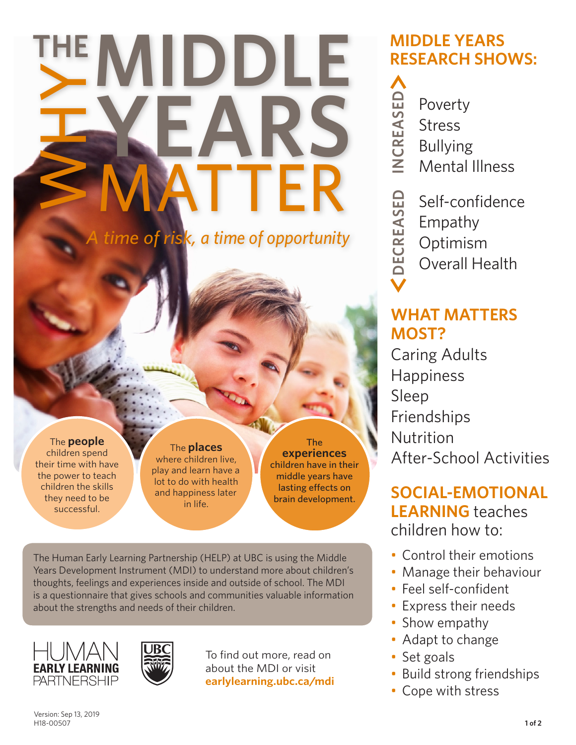# **MIDDLE**<br>
THE WHYPARS<br>
SMATTER **YEARS** MATTER

*A time of risk, a time of opportunity*

#### The **people** children spend their time with have the power to teach children the skills

they need to be successful.

The **places** where children live, play and learn have a lot to do with health and happiness later in life.

The **experiences** children have in their middle years have lasting effects on brain development.

The Human Early Learning Partnership (HELP) at UBC is using the Middle Years Development Instrument (MDI) to understand more about children's thoughts, feelings and experiences inside and outside of school. The MDI is a questionnaire that gives schools and communities valuable information about the strengths and needs of their children.





To find out more, read on about the MDI or visit **earlylearning.ubc.ca/mdi**

#### **MIDDLE YEARS RESEARCH SHOWS:**

**NCREASED INCREASED** Poverty Stress Bullying Mental Illness **DECREASED DECREASED** Self-confidence Empathy Optimism Overall Health

#### **WHAT MATTERS MOST?**

Caring Adults Happiness Sleep Friendships Nutrition After-School Activities

**SOCIAL-EMOTIONAL LEARNING** teaches children how to:

- Control their emotions
- Manage their behaviour
- Feel self-confident
- Express their needs
- Show empathy
- Adapt to change
- Set goals
- Build strong friendships
- Cope with stress